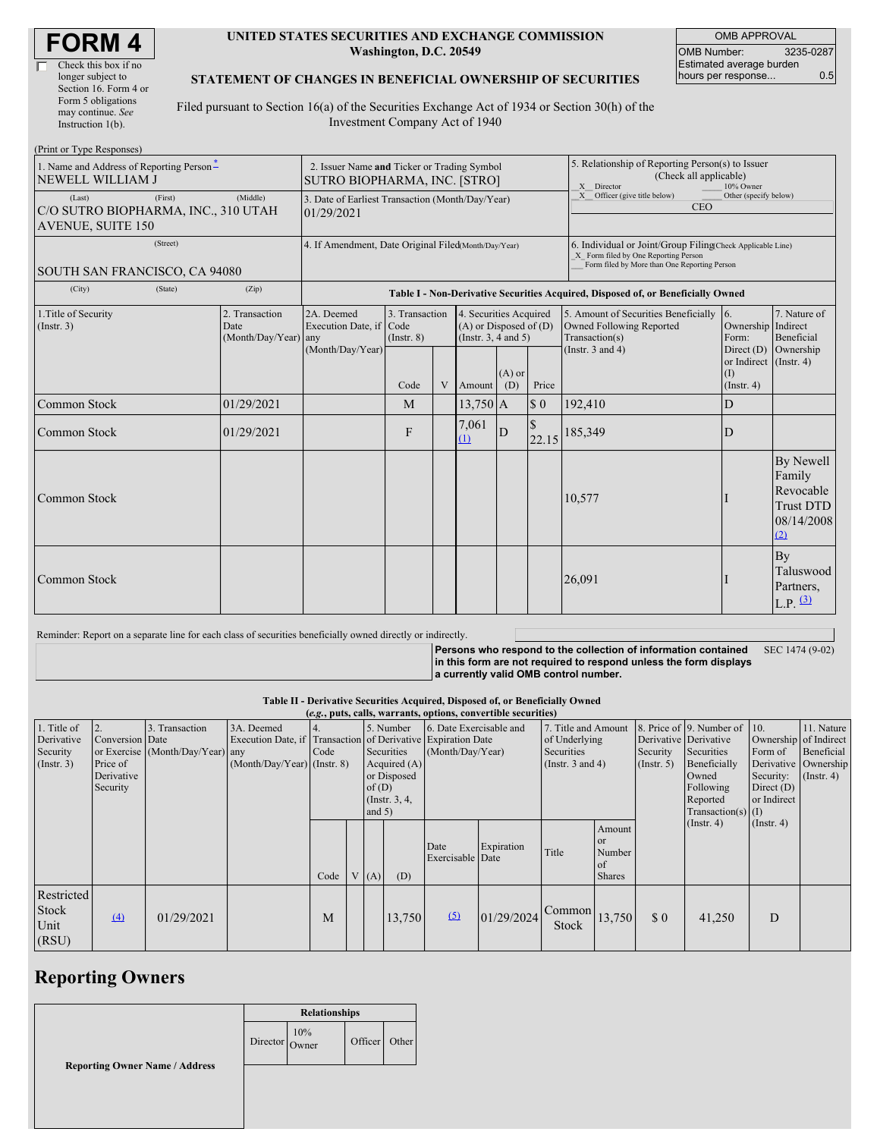#### **UNITED STATES SECURITIES AND EXCHANGE COMMISSION Washington, D.C. 20549**

OMB APPROVAL OMB Number: 3235-0287 Estimated average burden hours per response... 0.5

### **STATEMENT OF CHANGES IN BENEFICIAL OWNERSHIP OF SECURITIES**

Filed pursuant to Section 16(a) of the Securities Exchange Act of 1934 or Section 30(h) of the Investment Company Act of 1940

| (Print or Type Responses)                                                            |                                                                             |                                                                                  |                                   |   |                                                                              |                 |                                                                                                                                                    |                                                                                    |                                                            |                                                                           |  |
|--------------------------------------------------------------------------------------|-----------------------------------------------------------------------------|----------------------------------------------------------------------------------|-----------------------------------|---|------------------------------------------------------------------------------|-----------------|----------------------------------------------------------------------------------------------------------------------------------------------------|------------------------------------------------------------------------------------|------------------------------------------------------------|---------------------------------------------------------------------------|--|
| 1. Name and Address of Reporting Person*<br><b>NEWELL WILLIAM J</b>                  | 2. Issuer Name and Ticker or Trading Symbol<br>SUTRO BIOPHARMA, INC. [STRO] |                                                                                  |                                   |   |                                                                              |                 | 5. Relationship of Reporting Person(s) to Issuer<br>(Check all applicable)<br>X Director<br>10% Owner                                              |                                                                                    |                                                            |                                                                           |  |
| (Last)<br>(First)<br>C/O SUTRO BIOPHARMA, INC., 310 UTAH<br><b>AVENUE, SUITE 150</b> | 3. Date of Earliest Transaction (Month/Day/Year)<br>01/29/2021              |                                                                                  |                                   |   |                                                                              |                 | X Officer (give title below)<br>Other (specify below)<br><b>CEO</b>                                                                                |                                                                                    |                                                            |                                                                           |  |
| (Street)<br>SOUTH SAN FRANCISCO, CA 94080                                            | 4. If Amendment, Date Original Filed(Month/Day/Year)                        |                                                                                  |                                   |   |                                                                              |                 | 6. Individual or Joint/Group Filing(Check Applicable Line)<br>X Form filed by One Reporting Person<br>Form filed by More than One Reporting Person |                                                                                    |                                                            |                                                                           |  |
| (City)<br>(State)                                                                    | (Zip)                                                                       | Table I - Non-Derivative Securities Acquired, Disposed of, or Beneficially Owned |                                   |   |                                                                              |                 |                                                                                                                                                    |                                                                                    |                                                            |                                                                           |  |
| 1. Title of Security<br>(Insert. 3)                                                  | 2. Transaction<br>Date<br>$(Month/Day/Year)$ any                            | 2A. Deemed<br>Execution Date, if Code<br>(Month/Day/Year)                        | 3. Transaction<br>$($ Instr. $8)$ |   | 4. Securities Acquired<br>$(A)$ or Disposed of $(D)$<br>(Insert. 3, 4 and 5) |                 |                                                                                                                                                    | 5. Amount of Securities Beneficially<br>Owned Following Reported<br>Transaction(s) | $\overline{6}$ .<br>Ownership Indirect<br>Form:            | 7. Nature of<br>Beneficial                                                |  |
|                                                                                      |                                                                             |                                                                                  | Code                              | V | Amount                                                                       | $(A)$ or<br>(D) | Price                                                                                                                                              | (Instr. $3$ and $4$ )                                                              | Direct (D)<br>or Indirect (Instr. 4)<br>(I)<br>(Insert. 4) | Ownership                                                                 |  |
| Common Stock                                                                         | 01/29/2021                                                                  |                                                                                  | M                                 |   | $13,750$ A                                                                   |                 | $\boldsymbol{\mathsf{S}}$ 0                                                                                                                        | 192,410                                                                            | D                                                          |                                                                           |  |
| Common Stock                                                                         | 01/29/2021                                                                  |                                                                                  | F                                 |   | 7,061<br>(1)                                                                 | D               | 22.15                                                                                                                                              | 185,349                                                                            | D                                                          |                                                                           |  |
| Common Stock                                                                         |                                                                             |                                                                                  |                                   |   |                                                                              |                 |                                                                                                                                                    | 10,577                                                                             |                                                            | By Newell<br>Family<br>Revocable<br><b>Trust DTD</b><br>08/14/2008<br>(2) |  |
| Common Stock                                                                         |                                                                             |                                                                                  |                                   |   |                                                                              |                 |                                                                                                                                                    | 26,091                                                                             |                                                            | By<br>Taluswood<br>Partners,<br>$L.P.$ $(3)$                              |  |

Reminder: Report on a separate line for each class of securities beneficially owned directly or indirectly.

**Persons who respond to the collection of information contained in this form are not required to respond unless the form displays a currently valid OMB control number.** SEC 1474 (9-02)

**Table II - Derivative Securities Acquired, Disposed of, or Beneficially Owned**

| (e.g., puts, calls, warrants, options, convertible securities) |                 |                                  |                               |           |                                                              |                         |                                |                     |                       |        |                              |                                                  |                       |                  |  |
|----------------------------------------------------------------|-----------------|----------------------------------|-------------------------------|-----------|--------------------------------------------------------------|-------------------------|--------------------------------|---------------------|-----------------------|--------|------------------------------|--------------------------------------------------|-----------------------|------------------|--|
| 1. Title of                                                    | 2.              | 3. Transaction                   | 3A. Deemed                    | 5. Number |                                                              | 6. Date Exercisable and |                                | 7. Title and Amount |                       |        | 8. Price of 9. Number of 10. |                                                  | 11. Nature            |                  |  |
| Derivative                                                     | Conversion Date |                                  |                               |           | Execution Date, if Transaction of Derivative Expiration Date |                         |                                |                     | of Underlying         |        | Derivative Derivative        |                                                  | Ownership of Indirect |                  |  |
| Security                                                       |                 | or Exercise (Month/Day/Year) any |                               | Code      |                                                              |                         | (Month/Day/Year)<br>Securities |                     | Securities            |        | Security                     | Securities                                       | Form of               | Beneficial       |  |
| (Insert. 3)                                                    | Price of        |                                  | $(Month/Day/Year)$ (Instr. 8) |           |                                                              |                         | Acquired $(A)$                 |                     | (Instr. $3$ and $4$ ) |        | $($ Instr. 5 $)$             | Beneficially                                     | Derivative Ownership  |                  |  |
|                                                                | Derivative      |                                  |                               |           |                                                              |                         | or Disposed                    |                     |                       |        | Owned                        | Security:                                        | $($ Instr. 4 $)$      |                  |  |
|                                                                | Security        |                                  |                               |           |                                                              | of(D)                   |                                |                     |                       |        |                              |                                                  | Following             | Direct $(D)$     |  |
|                                                                |                 |                                  |                               |           |                                                              |                         | (Instr. 3, 4,                  |                     |                       |        |                              |                                                  | Reported              | or Indirect      |  |
|                                                                |                 |                                  |                               |           |                                                              | and $5)$                |                                |                     |                       |        |                              |                                                  | $Transaction(s)$ (I)  |                  |  |
|                                                                |                 |                                  |                               |           |                                                              |                         |                                |                     |                       |        | Amount                       |                                                  | $($ Instr. 4 $)$      | $($ Instr. 4 $)$ |  |
|                                                                |                 |                                  |                               |           |                                                              |                         |                                | Date                | Expiration            |        | <b>or</b>                    |                                                  |                       |                  |  |
|                                                                |                 |                                  |                               |           |                                                              |                         |                                | Exercisable Date    |                       | Title  | Number                       |                                                  |                       |                  |  |
|                                                                |                 |                                  |                               |           |                                                              |                         |                                |                     |                       |        | of                           |                                                  |                       |                  |  |
|                                                                |                 |                                  |                               | Code      |                                                              | (A)                     | (D)                            |                     |                       |        | <b>Shares</b>                |                                                  |                       |                  |  |
| Restricted                                                     |                 |                                  |                               |           |                                                              |                         |                                |                     |                       |        |                              |                                                  |                       |                  |  |
| <b>Stock</b>                                                   |                 |                                  |                               |           |                                                              |                         |                                |                     |                       | Common |                              |                                                  |                       |                  |  |
| Unit                                                           | $\Delta$        | 01/29/2021                       |                               | М         |                                                              |                         | 13,750                         | (5)                 | 01/29/2024            | Stock  | 13,750                       | $\boldsymbol{\mathsf{S}}\boldsymbol{\mathsf{0}}$ | 41,250                | D                |  |
|                                                                |                 |                                  |                               |           |                                                              |                         |                                |                     |                       |        |                              |                                                  |                       |                  |  |
| (RSU)                                                          |                 |                                  |                               |           |                                                              |                         |                                |                     |                       |        |                              |                                                  |                       |                  |  |

# **Reporting Owners**

|                                       | <b>Relationships</b>                                         |  |         |       |  |
|---------------------------------------|--------------------------------------------------------------|--|---------|-------|--|
|                                       | Director $\begin{array}{c} 10\% \\ \text{Owner} \end{array}$ |  | Officer | Other |  |
| <b>Reporting Owner Name / Address</b> |                                                              |  |         |       |  |